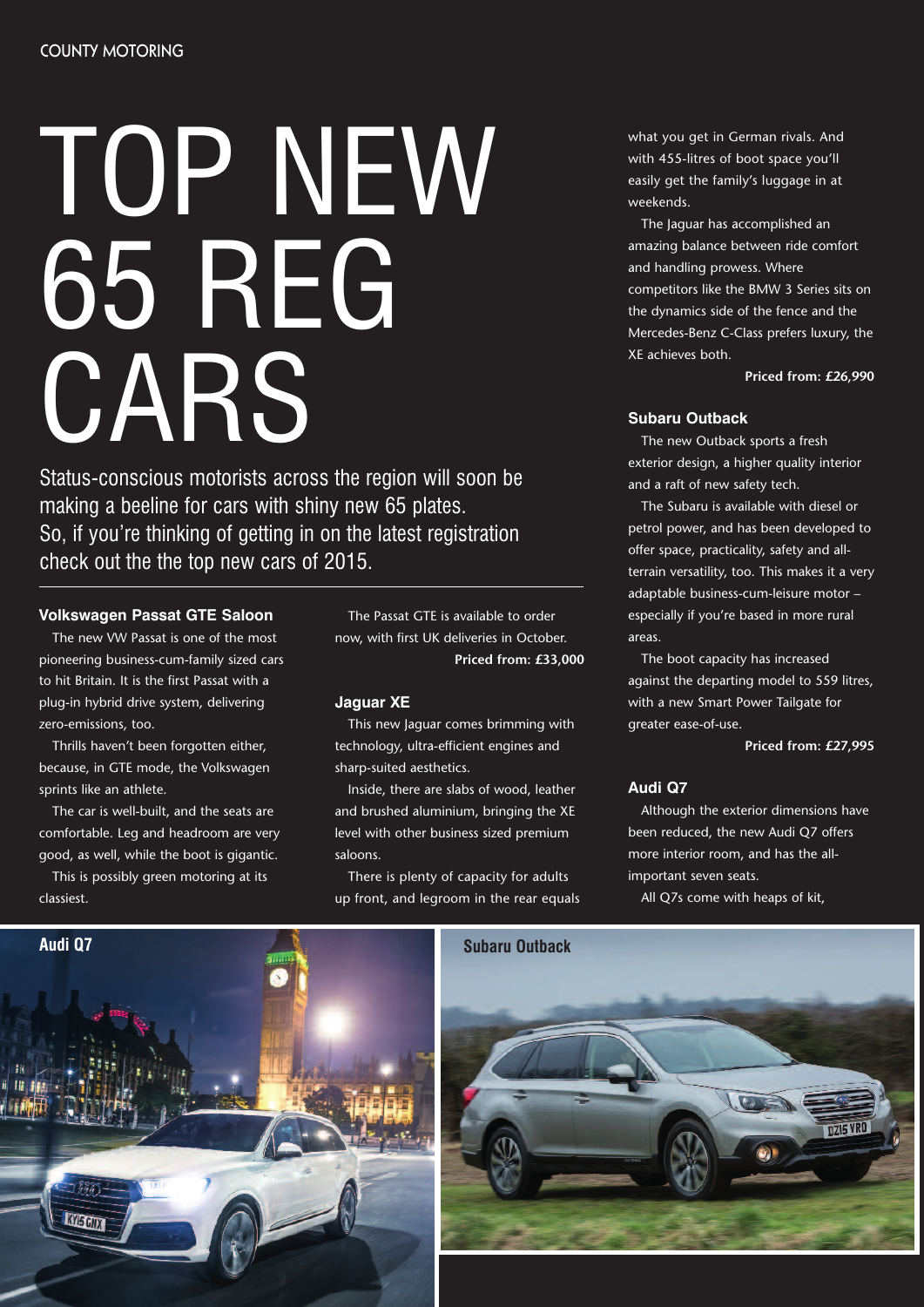# TOP NEW 65 REG CARS

Status-conscious motorists across the region will soon be making a beeline for cars with shiny new 65 plates. So, if you're thinking of getting in on the latest registration check out the the top new cars of 2015.

# **Volkswagen Passat GTE Saloon**

The new VW Passat is one of the most pioneering business-cum-family sized cars to hit Britain. It is the first Passat with a plug-in hybrid drive system, delivering zero-emissions, too.

Thrills haven't been forgotten either, because, in GTE mode, the Volkswagen sprints like an athlete.

The car is well-built, and the seats are comfortable. Leg and headroom are very good, as well, while the boot is gigantic.

This is possibly green motoring at its classiest.

The Passat GTE is available to order now, with first UK deliveries in October. **Priced from: £33,000**

## **Jaguar XE**

This new Jaguar comes brimming with technology, ultra-efficient engines and sharp-suited aesthetics.

Inside, there are slabs of wood, leather and brushed aluminium, bringing the XE level with other business sized premium saloons.

There is plenty of capacity for adults up front, and legroom in the rear equals what you get in German rivals. And with 455-litres of boot space you'll easily get the family's luggage in at weekends.

The Jaguar has accomplished an amazing balance between ride comfort and handling prowess. Where competitors like the BMW 3 Series sits on the dynamics side of the fence and the Mercedes-Benz C-Class prefers luxury, the XE achieves both.

**Priced from: £26,990**

## **Subaru Outback**

The new Outback sports a fresh exterior design, a higher quality interior and a raft of new safety tech.

The Subaru is available with diesel or petrol power, and has been developed to offer space, practicality, safety and allterrain versatility, too. This makes it a very adaptable business-cum-leisure motor – especially if you're based in more rural areas.

The boot capacity has increased against the departing model to 559 litres, with a new Smart Power Tailgate for greater ease-of-use.

**Priced from: £27,995**

### **Audi Q7**

Although the exterior dimensions have been reduced, the new Audi Q7 offers more interior room, and has the allimportant seven seats.

All Q7s come with heaps of kit,